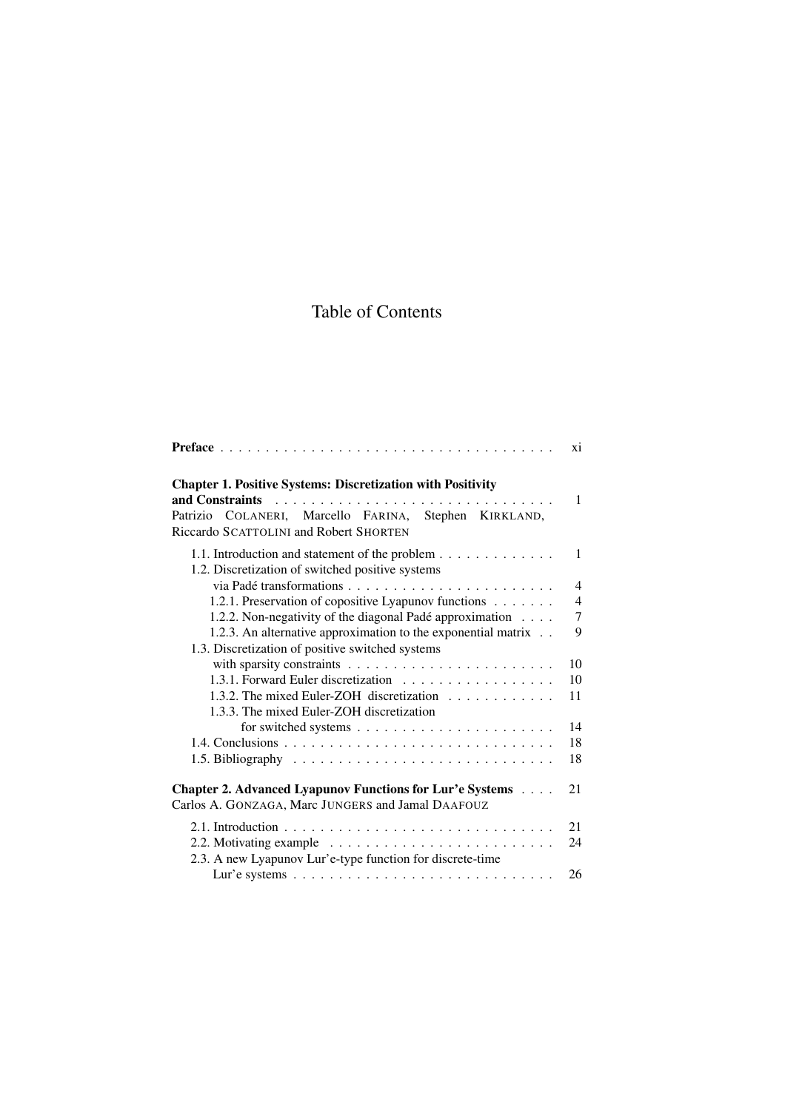## Table of Contents

|                                                                                                                                                                       | xi             |
|-----------------------------------------------------------------------------------------------------------------------------------------------------------------------|----------------|
| <b>Chapter 1. Positive Systems: Discretization with Positivity</b><br>Patrizio COLANERI, Marcello FARINA, Stephen KIRKLAND,<br>Riccardo SCATTOLINI and Robert SHORTEN | $\mathbf{1}$   |
| 1.1. Introduction and statement of the problem<br>1.2. Discretization of switched positive systems                                                                    | $\mathbf{1}$   |
|                                                                                                                                                                       | $\overline{4}$ |
| 1.2.1. Preservation of copositive Lyapunov functions                                                                                                                  | $\overline{4}$ |
| 1.2.2. Non-negativity of the diagonal Padé approximation                                                                                                              | $\tau$         |
| 1.2.3. An alternative approximation to the exponential matrix<br>1.3. Discretization of positive switched systems                                                     | 9              |
|                                                                                                                                                                       | 10             |
| 1.3.1. Forward Euler discretization                                                                                                                                   | 10             |
| 1.3.2. The mixed Euler-ZOH discretization<br>1.3.3. The mixed Euler-ZOH discretization                                                                                | 11             |
|                                                                                                                                                                       | 14             |
|                                                                                                                                                                       | 18             |
|                                                                                                                                                                       | 18             |
| <b>Chapter 2. Advanced Lyapunov Functions for Lur'e Systems</b><br>Carlos A. GONZAGA, Marc JUNGERS and Jamal DAAFOUZ                                                  | 21             |
|                                                                                                                                                                       | 21             |
| 2.3. A new Lyapunov Lur'e-type function for discrete-time                                                                                                             | 24             |
|                                                                                                                                                                       | 26             |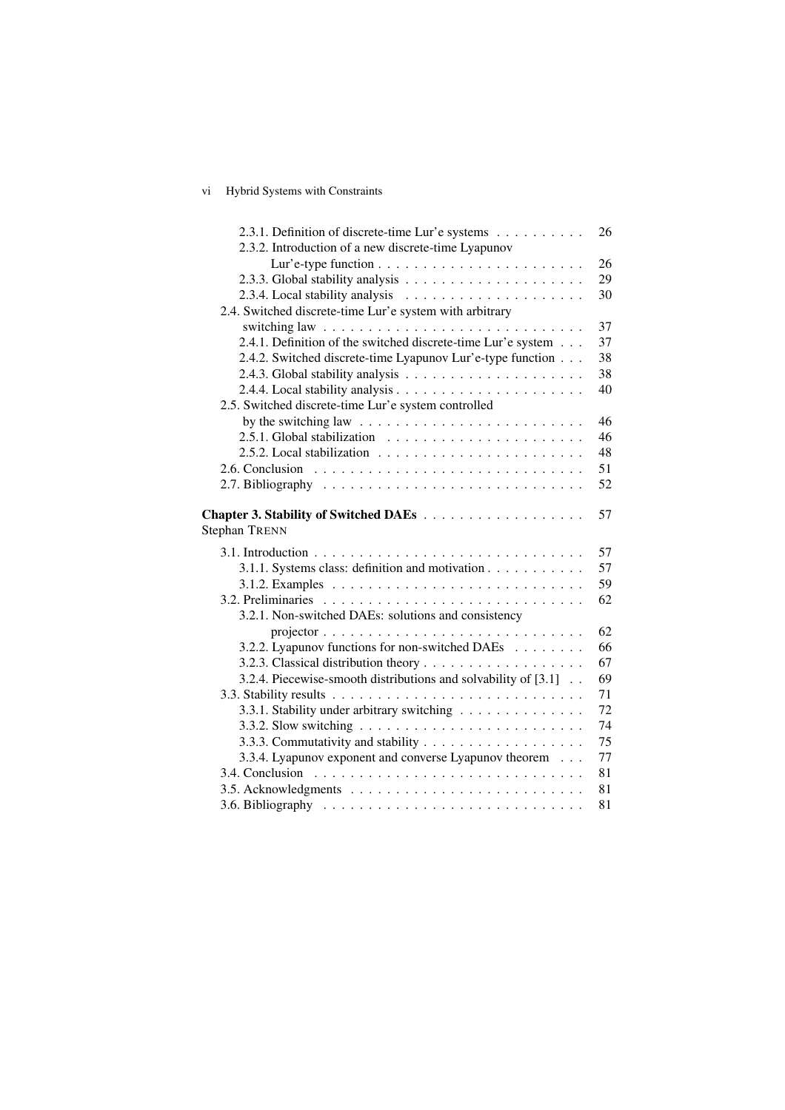## vi Hybrid Systems with Constraints

| 2.3.2. Introduction of a new discrete-time Lyapunov<br>26<br>29<br>30<br>2.4. Switched discrete-time Lur'e system with arbitrary<br>37<br>switching law $\ldots \ldots \ldots \ldots \ldots \ldots \ldots \ldots \ldots \ldots$<br>2.4.1. Definition of the switched discrete-time Lur'e system<br>37<br>2.4.2. Switched discrete-time Lyapunov Lur'e-type function<br>38<br>38<br>40<br>2.5. Switched discrete-time Lur'e system controlled<br>by the switching law $\dots \dots \dots \dots \dots \dots \dots \dots \dots \dots$<br>46<br>46 |
|------------------------------------------------------------------------------------------------------------------------------------------------------------------------------------------------------------------------------------------------------------------------------------------------------------------------------------------------------------------------------------------------------------------------------------------------------------------------------------------------------------------------------------------------|
|                                                                                                                                                                                                                                                                                                                                                                                                                                                                                                                                                |
|                                                                                                                                                                                                                                                                                                                                                                                                                                                                                                                                                |
|                                                                                                                                                                                                                                                                                                                                                                                                                                                                                                                                                |
|                                                                                                                                                                                                                                                                                                                                                                                                                                                                                                                                                |
|                                                                                                                                                                                                                                                                                                                                                                                                                                                                                                                                                |
|                                                                                                                                                                                                                                                                                                                                                                                                                                                                                                                                                |
|                                                                                                                                                                                                                                                                                                                                                                                                                                                                                                                                                |
|                                                                                                                                                                                                                                                                                                                                                                                                                                                                                                                                                |
|                                                                                                                                                                                                                                                                                                                                                                                                                                                                                                                                                |
|                                                                                                                                                                                                                                                                                                                                                                                                                                                                                                                                                |
|                                                                                                                                                                                                                                                                                                                                                                                                                                                                                                                                                |
|                                                                                                                                                                                                                                                                                                                                                                                                                                                                                                                                                |
| 48<br>2.5.2. Local stabilization $\ldots \ldots \ldots \ldots \ldots \ldots \ldots$                                                                                                                                                                                                                                                                                                                                                                                                                                                            |
| 51                                                                                                                                                                                                                                                                                                                                                                                                                                                                                                                                             |
| 52                                                                                                                                                                                                                                                                                                                                                                                                                                                                                                                                             |
| 57<br><b>Stephan TRENN</b>                                                                                                                                                                                                                                                                                                                                                                                                                                                                                                                     |
| 57                                                                                                                                                                                                                                                                                                                                                                                                                                                                                                                                             |
| 3.1.1. Systems class: definition and motivation<br>57                                                                                                                                                                                                                                                                                                                                                                                                                                                                                          |
| 59                                                                                                                                                                                                                                                                                                                                                                                                                                                                                                                                             |
| 62                                                                                                                                                                                                                                                                                                                                                                                                                                                                                                                                             |
| 3.2.1. Non-switched DAEs: solutions and consistency                                                                                                                                                                                                                                                                                                                                                                                                                                                                                            |
| 62                                                                                                                                                                                                                                                                                                                                                                                                                                                                                                                                             |
| 3.2.2. Lyapunov functions for non-switched DAEs<br>66                                                                                                                                                                                                                                                                                                                                                                                                                                                                                          |
| 67                                                                                                                                                                                                                                                                                                                                                                                                                                                                                                                                             |
| 3.2.4. Piecewise-smooth distributions and solvability of [3.1]<br>69                                                                                                                                                                                                                                                                                                                                                                                                                                                                           |
| 71                                                                                                                                                                                                                                                                                                                                                                                                                                                                                                                                             |
| 72<br>3.3.1. Stability under arbitrary switching                                                                                                                                                                                                                                                                                                                                                                                                                                                                                               |
| 74                                                                                                                                                                                                                                                                                                                                                                                                                                                                                                                                             |
| 75                                                                                                                                                                                                                                                                                                                                                                                                                                                                                                                                             |
| 3.3.4. Lyapunov exponent and converse Lyapunov theorem<br>77                                                                                                                                                                                                                                                                                                                                                                                                                                                                                   |
| 81                                                                                                                                                                                                                                                                                                                                                                                                                                                                                                                                             |
| 81                                                                                                                                                                                                                                                                                                                                                                                                                                                                                                                                             |
| 81                                                                                                                                                                                                                                                                                                                                                                                                                                                                                                                                             |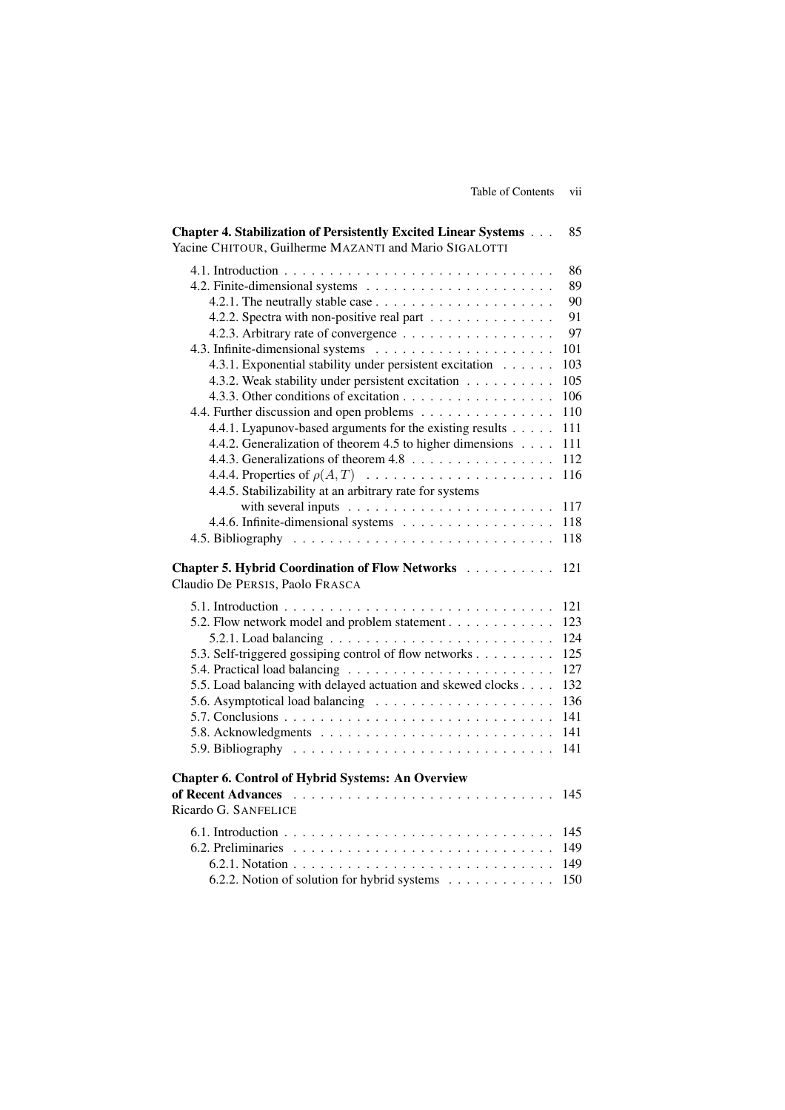| Chapter 4. Stabilization of Persistently Excited Linear Systems<br>Yacine CHITOUR, Guilherme MAZANTI and Mario SIGALOTTI                                                                                                                                                                                                                                                                                                                                                  | 85                                                                                               |
|---------------------------------------------------------------------------------------------------------------------------------------------------------------------------------------------------------------------------------------------------------------------------------------------------------------------------------------------------------------------------------------------------------------------------------------------------------------------------|--------------------------------------------------------------------------------------------------|
| 4.2.2. Spectra with non-positive real part<br>4.2.3. Arbitrary rate of convergence<br>4.3.1. Exponential stability under persistent excitation<br>4.3.2. Weak stability under persistent excitation<br>4.4. Further discussion and open problems<br>4.4.1. Lyapunov-based arguments for the existing results<br>4.4.2. Generalization of theorem 4.5 to higher dimensions<br>4.4.4. Properties of $\rho(A, T)$<br>4.4.5. Stabilizability at an arbitrary rate for systems | 86<br>89<br>90<br>91<br>97<br>101<br>103<br>105<br>106<br>110<br>111<br>111<br>112<br>116<br>117 |
|                                                                                                                                                                                                                                                                                                                                                                                                                                                                           | 118                                                                                              |
|                                                                                                                                                                                                                                                                                                                                                                                                                                                                           | 118                                                                                              |
| Chapter 5. Hybrid Coordination of Flow Networks<br>Claudio De PERSIS, Paolo FRASCA                                                                                                                                                                                                                                                                                                                                                                                        | 121                                                                                              |
| 5.1. Introduction $\ldots \ldots \ldots \ldots \ldots \ldots \ldots \ldots \ldots \ldots$<br>5.2. Flow network model and problem statement<br>5.3. Self-triggered gossiping control of flow networks<br>5.5. Load balancing with delayed actuation and skewed clocks<br>5.7. Conclusions $\ldots \ldots \ldots \ldots \ldots \ldots \ldots \ldots \ldots \ldots$                                                                                                          | 121<br>123<br>124<br>125<br>127<br>132<br>136<br>141<br>141<br>141                               |
| <b>Chapter 6. Control of Hybrid Systems: An Overview</b><br>Ricardo G. SANFELICE                                                                                                                                                                                                                                                                                                                                                                                          | 145                                                                                              |
| 6.2.2. Notion of solution for hybrid systems                                                                                                                                                                                                                                                                                                                                                                                                                              | 145<br>149<br>149<br>150                                                                         |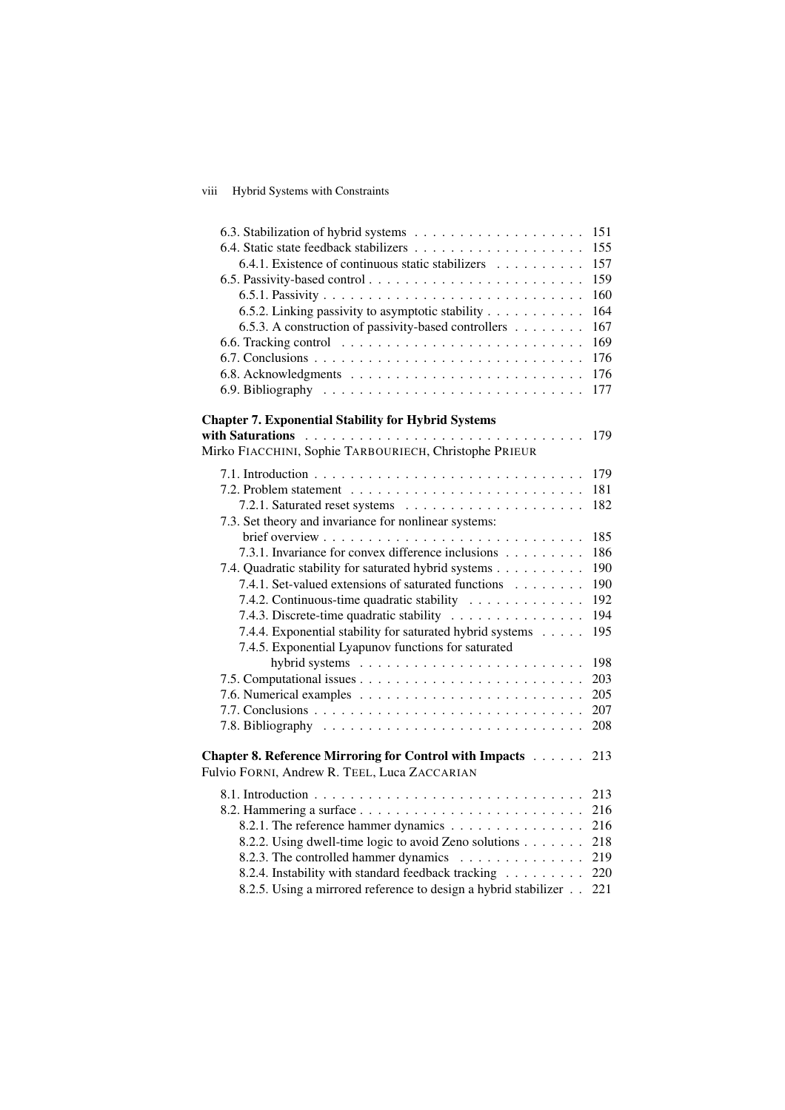## viii Hybrid Systems with Constraints

|                                                                 | 151        |
|-----------------------------------------------------------------|------------|
|                                                                 | 155        |
| 6.4.1. Existence of continuous static stabilizers               | 157        |
|                                                                 | 159        |
|                                                                 | 160        |
| 6.5.2. Linking passivity to asymptotic stability                | 164        |
| 6.5.3. A construction of passivity-based controllers            | 167        |
|                                                                 | 169        |
|                                                                 | 176        |
|                                                                 | 176        |
|                                                                 | 177        |
|                                                                 |            |
| <b>Chapter 7. Exponential Stability for Hybrid Systems</b>      |            |
|                                                                 | 179        |
| Mirko FIACCHINI, Sophie TARBOURIECH, Christophe PRIEUR          |            |
|                                                                 | 179        |
|                                                                 | 181        |
|                                                                 | 182        |
| 7.3. Set theory and invariance for nonlinear systems:           |            |
|                                                                 | 185        |
| 7.3.1. Invariance for convex difference inclusions              | 186        |
| 7.4. Quadratic stability for saturated hybrid systems           | 190        |
| 7.4.1. Set-valued extensions of saturated functions             | 190        |
| 7.4.2. Continuous-time quadratic stability                      | 192        |
| 7.4.3. Discrete-time quadratic stability                        | 194        |
| 7.4.4. Exponential stability for saturated hybrid systems       | 195        |
| 7.4.5. Exponential Lyapunov functions for saturated             |            |
|                                                                 | 198        |
|                                                                 | 203        |
|                                                                 | 205        |
|                                                                 | 207        |
|                                                                 | 208        |
|                                                                 |            |
| Chapter 8. Reference Mirroring for Control with Impacts         | 213        |
| Fulvio FORNI, Andrew R. TEEL, Luca ZACCARIAN                    |            |
|                                                                 | 213        |
|                                                                 | 216        |
| 8.2.1. The reference hammer dynamics                            | 216        |
|                                                                 |            |
| 8.2.2. Using dwell-time logic to avoid Zeno solutions           | 218<br>219 |
| 8.2.3. The controlled hammer dynamics                           |            |
| 8.2.4. Instability with standard feedback tracking              | 220        |
| 8.2.5. Using a mirrored reference to design a hybrid stabilizer | 221        |